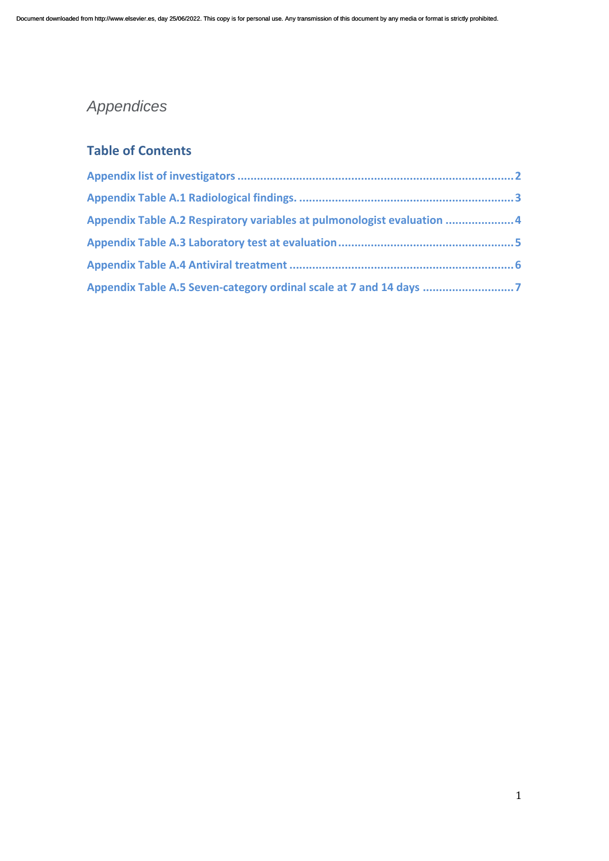# *Appendices*

### **Table of Contents**

| Appendix Table A.2 Respiratory variables at pulmonologist evaluation 4 |  |
|------------------------------------------------------------------------|--|
|                                                                        |  |
|                                                                        |  |
| Appendix Table A.5 Seven-category ordinal scale at 7 and 14 days       |  |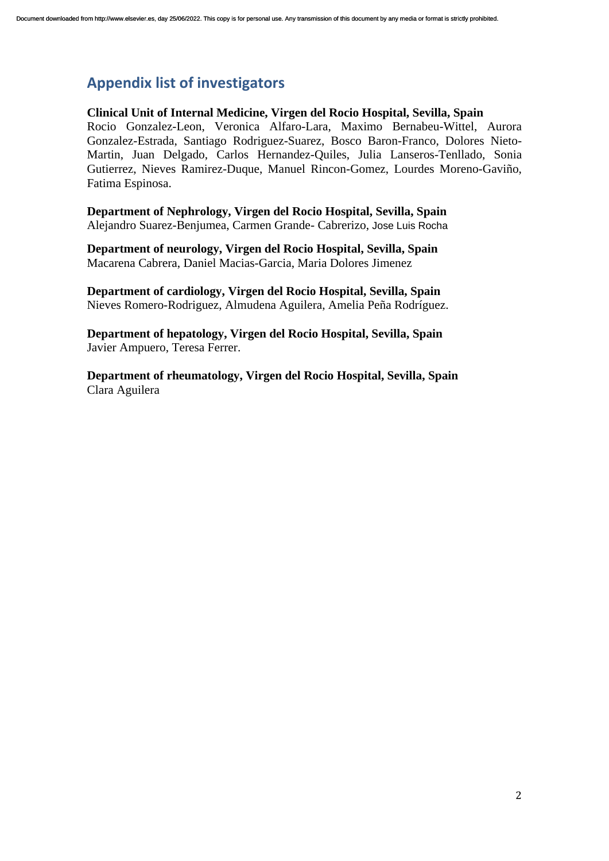### <span id="page-1-0"></span>**Appendix list of investigators**

#### **Clinical Unit of Internal Medicine, Virgen del Rocio Hospital, Sevilla, Spain**

Rocio Gonzalez-Leon, Veronica Alfaro-Lara, Maximo Bernabeu-Wittel, Aurora Gonzalez-Estrada, Santiago Rodriguez-Suarez, Bosco Baron-Franco, Dolores Nieto-Martin, Juan Delgado, Carlos Hernandez-Quiles, Julia Lanseros-Tenllado, Sonia Gutierrez, Nieves Ramirez-Duque, Manuel Rincon-Gomez, Lourdes Moreno-Gaviño, Fatima Espinosa.

**Department of Nephrology, Virgen del Rocio Hospital, Sevilla, Spain** Alejandro Suarez-Benjumea, Carmen Grande- Cabrerizo, Jose Luis Rocha

**Department of neurology, Virgen del Rocio Hospital, Sevilla, Spain** Macarena Cabrera, Daniel Macias-Garcia, Maria Dolores Jimenez

**Department of cardiology, Virgen del Rocio Hospital, Sevilla, Spain** Nieves Romero-Rodriguez, Almudena Aguilera, Amelia Peña Rodríguez.

**Department of hepatology, Virgen del Rocio Hospital, Sevilla, Spain** Javier Ampuero, Teresa Ferrer.

**Department of rheumatology, Virgen del Rocio Hospital, Sevilla, Spain** Clara Aguilera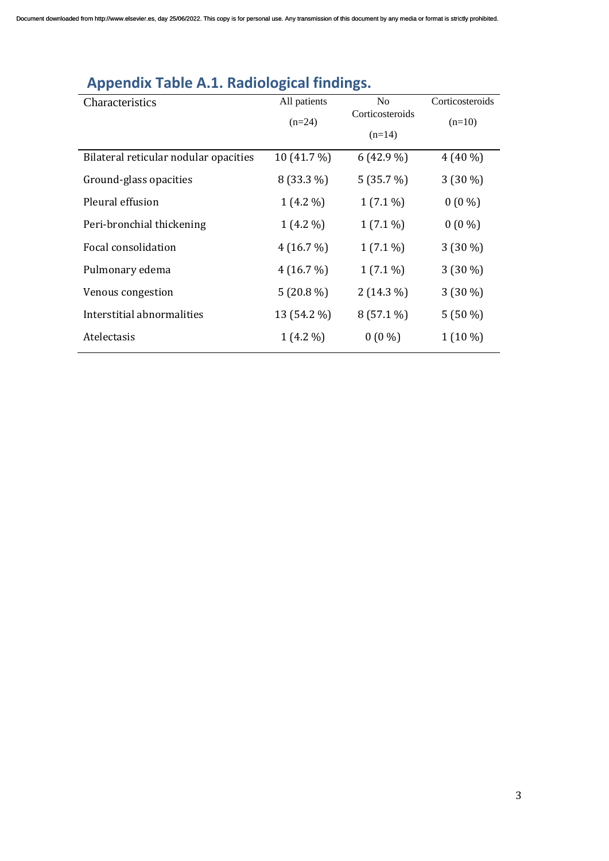| Characteristics                       | All patients | N <sub>0</sub>  | Corticosteroids |
|---------------------------------------|--------------|-----------------|-----------------|
|                                       | $(n=24)$     | Corticosteroids | $(n=10)$        |
|                                       |              | $(n=14)$        |                 |
| Bilateral reticular nodular opacities | 10 (41.7 %)  | $6(42.9\%)$     | $4(40\%)$       |
| Ground-glass opacities                | 8 (33.3 %)   | 5(35.7%)        | $3(30\%)$       |
| Pleural effusion                      | $1(4.2\%)$   | $1(7.1\%)$      | $0(0\%)$        |
| Peri-bronchial thickening             | $1(4.2\%)$   | $1(7.1\%)$      | $0(0\%)$        |
| Focal consolidation                   | 4(16.7%)     | $1(7.1\%)$      | $3(30\%)$       |
| Pulmonary edema                       | 4(16.7%)     | $1(7.1\%)$      | $3(30\%)$       |
| Venous congestion                     | $5(20.8\%)$  | $2(14.3\%)$     | $3(30\%)$       |
| Interstitial abnormalities            | 13 (54.2 %)  | $8(57.1\%)$     | $5(50\%)$       |
| Atelectasis                           | $1(4.2\%)$   | $0(0\%)$        | $1(10\%)$       |

# <span id="page-2-0"></span>**Appendix Table A.1. Radiological findings.**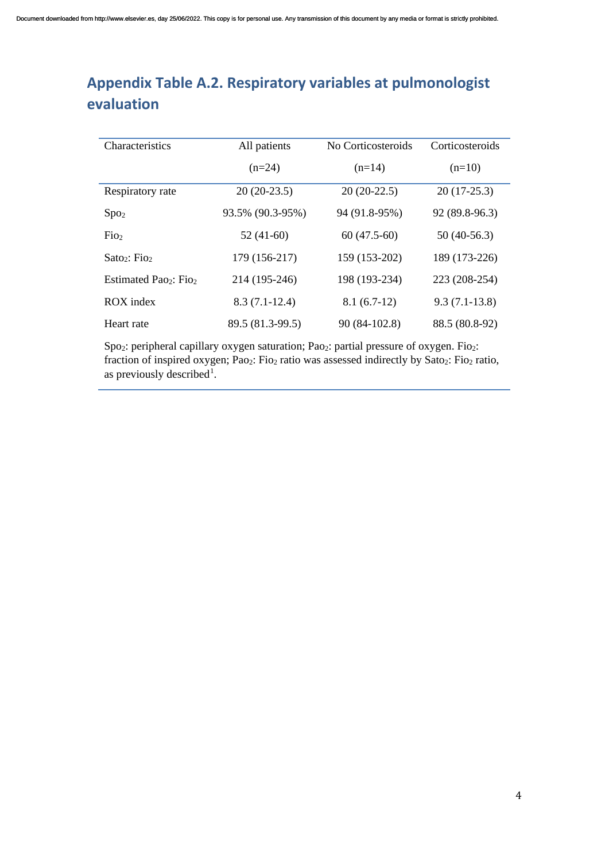## <span id="page-3-0"></span>**Appendix Table A.2. Respiratory variables at pulmonologist evaluation**

| <b>Characteristics</b>                        | All patients     | No Corticosteroids | Corticosteroids |
|-----------------------------------------------|------------------|--------------------|-----------------|
|                                               | $(n=24)$         | $(n=14)$           | $(n=10)$        |
| Respiratory rate                              | $20(20-23.5)$    | $20(20-22.5)$      | $20(17-25.3)$   |
| Spo <sub>2</sub>                              | 93.5% (90.3-95%) | 94 (91.8-95%)      | 92 (89.8-96.3)  |
| F <sub>102</sub>                              | $52(41-60)$      | $60(47.5-60)$      | $50(40-56.3)$   |
| Sato <sub>2</sub> : Fio <sub>2</sub>          | 179 (156-217)    | 159 (153-202)      | 189 (173-226)   |
| Estimated Pao <sub>2</sub> : Fio <sub>2</sub> | 214 (195-246)    | 198 (193-234)      | 223 (208-254)   |
| ROX index                                     | $8.3(7.1-12.4)$  | $8.1(6.7-12)$      | $9.3(7.1-13.8)$ |
| Heart rate                                    | 89.5 (81.3-99.5) | 90 (84-102.8)      | 88.5 (80.8-92)  |

Spo<sub>2</sub>: peripheral capillary oxygen saturation; Pao<sub>2</sub>: partial pressure of oxygen. Fio<sub>2</sub>: fraction of inspired oxygen; Pao<sub>2</sub>: Fio<sub>2</sub> ratio was assessed indirectly by Sato<sub>2</sub>: Fio<sub>2</sub> ratio, as previously described<sup>[1](#page-7-0)</sup>.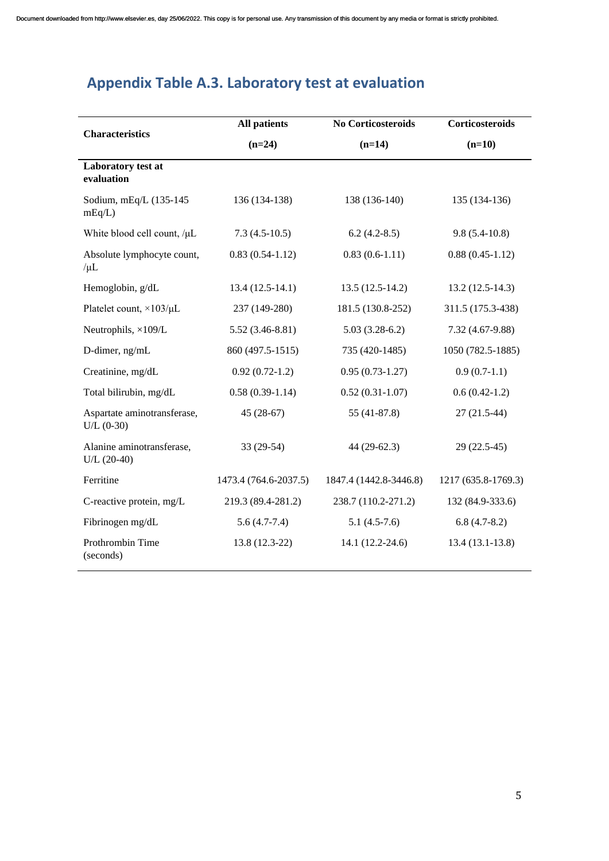# <span id="page-4-0"></span>**Appendix Table A.3. Laboratory test at evaluation**

|                                             | <b>All patients</b><br>No Corticosteroids |                        | Corticosteroids     |  |
|---------------------------------------------|-------------------------------------------|------------------------|---------------------|--|
| <b>Characteristics</b>                      | $(n=24)$                                  | $(n=14)$               |                     |  |
| Laboratory test at<br>evaluation            |                                           |                        |                     |  |
| Sodium, mEq/L (135-145<br>mEq/L             | 136 (134-138)                             | 138 (136-140)          | 135 (134-136)       |  |
| White blood cell count, /µL                 | $7.3(4.5-10.5)$                           | $6.2(4.2-8.5)$         | $9.8(5.4-10.8)$     |  |
| Absolute lymphocyte count,<br>$/\mu L$      | $0.83(0.54-1.12)$                         | $0.83(0.6-1.11)$       | $0.88(0.45-1.12)$   |  |
| Hemoglobin, g/dL                            | $13.4(12.5-14.1)$                         | $13.5(12.5-14.2)$      | $13.2(12.5-14.3)$   |  |
| Platelet count, ×103/µL                     | 237 (149-280)                             | 181.5 (130.8-252)      | 311.5 (175.3-438)   |  |
| Neutrophils, ×109/L                         | $5.52(3.46-8.81)$                         | $5.03(3.28-6.2)$       | 7.32 (4.67-9.88)    |  |
| D-dimer, ng/mL                              | 860 (497.5-1515)                          | 735 (420-1485)         | 1050 (782.5-1885)   |  |
| Creatinine, mg/dL                           | $0.92(0.72-1.2)$                          | $0.95(0.73-1.27)$      | $0.9(0.7-1.1)$      |  |
| Total bilirubin, mg/dL                      | $0.58(0.39-1.14)$                         | $0.52(0.31-1.07)$      | $0.6(0.42-1.2)$     |  |
| Aspartate aminotransferase,<br>$U/L (0-30)$ | $45(28-67)$                               | 55 (41-87.8)           | $27(21.5-44)$       |  |
| Alanine aminotransferase,<br>$U/L$ (20-40)  | $33(29-54)$                               | 44 (29-62.3)           | 29 (22.5-45)        |  |
| Ferritine                                   | 1473.4 (764.6-2037.5)                     | 1847.4 (1442.8-3446.8) | 1217 (635.8-1769.3) |  |
| C-reactive protein, mg/L                    | 219.3 (89.4-281.2)                        | 238.7 (110.2-271.2)    | 132 (84.9-333.6)    |  |
| Fibrinogen mg/dL                            | $5.6(4.7-7.4)$                            | $5.1(4.5-7.6)$         | $6.8(4.7-8.2)$      |  |
| Prothrombin Time<br>(seconds)               | 13.8 (12.3-22)                            | 14.1 (12.2-24.6)       | $13.4(13.1-13.8)$   |  |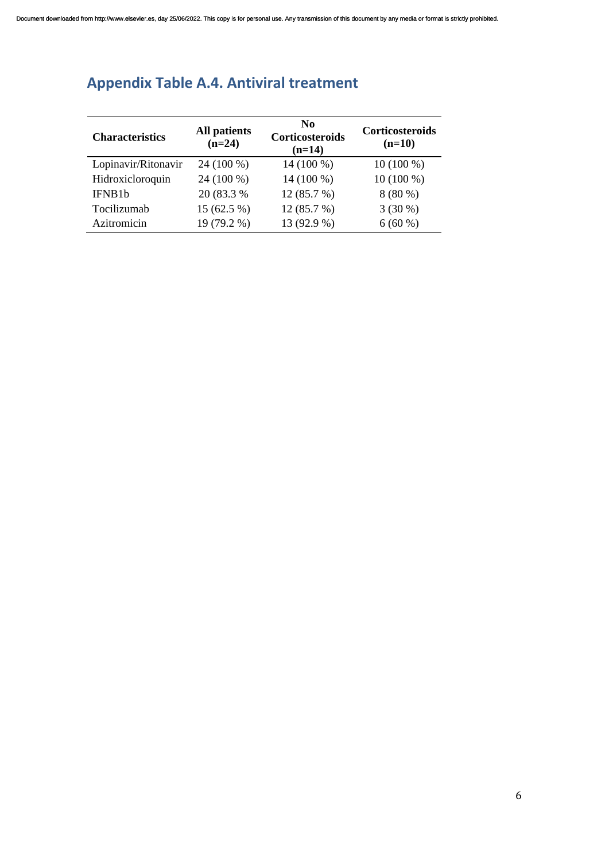| <b>Characteristics</b> | <b>All patients</b><br>$(n=24)$ | N <sub>0</sub><br>Corticosteroids<br>$(n=14)$ | <b>Corticosteroids</b><br>$(n=10)$ |
|------------------------|---------------------------------|-----------------------------------------------|------------------------------------|
| Lopinavir/Ritonavir    | 24 (100 %)                      | 14 (100 %)                                    | $10(100\%)$                        |
| Hidroxicloroquin       | 24 (100 %)                      | 14 (100 %)                                    | $10(100\%)$                        |
| IFNB1b                 | 20 (83.3 %)                     | 12 (85.7 %)                                   | $8(80\%)$                          |
| Tocilizumab            | $15(62.5\%)$                    | 12 (85.7 %)                                   | $3(30\%)$                          |
| Azitromicin            | 19 (79.2 %)                     | 13 (92.9 %)                                   | $6(60\%)$                          |

## <span id="page-5-0"></span>**Appendix Table A.4. Antiviral treatment**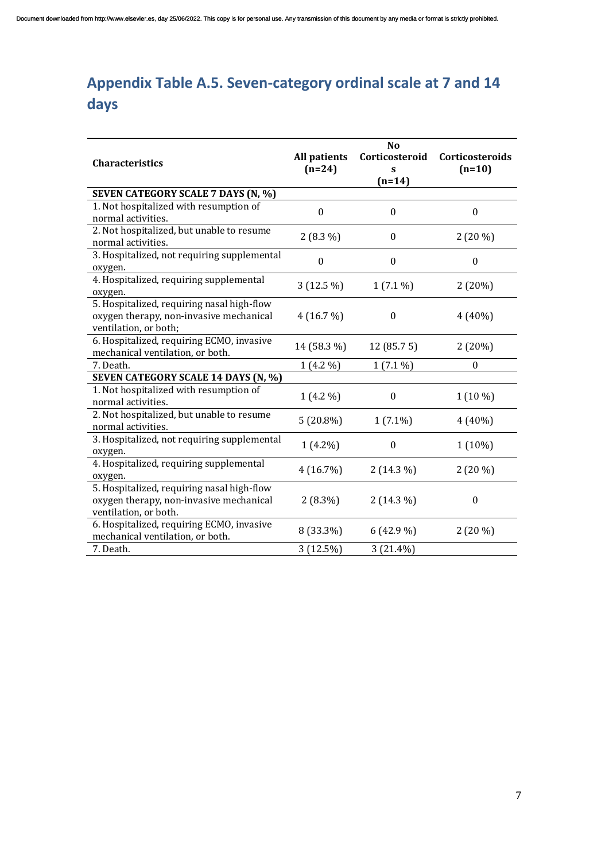# <span id="page-6-0"></span>**Appendix Table A.5. Seven-category ordinal scale at 7 and 14 days**

|                                             |                  | N <sub>o</sub>   |                  |
|---------------------------------------------|------------------|------------------|------------------|
| <b>Characteristics</b>                      | All patients     | Corticosteroid   | Corticosteroids  |
|                                             | $(n=24)$         | S                | $(n=10)$         |
|                                             |                  | $(n=14)$         |                  |
| SEVEN CATEGORY SCALE 7 DAYS (N, %)          |                  |                  |                  |
| 1. Not hospitalized with resumption of      | $\mathbf{0}$     | $\mathbf{0}$     | $\Omega$         |
| normal activities.                          |                  |                  |                  |
| 2. Not hospitalized, but unable to resume   | $2(8.3\%)$       | 0                | $2(20\%)$        |
| normal activities.                          |                  |                  |                  |
| 3. Hospitalized, not requiring supplemental | $\boldsymbol{0}$ | $\boldsymbol{0}$ | $\boldsymbol{0}$ |
| oxygen.                                     |                  |                  |                  |
| 4. Hospitalized, requiring supplemental     | $3(12.5\%)$      | $1(7.1\%)$       | 2(20%)           |
| oxygen.                                     |                  |                  |                  |
| 5. Hospitalized, requiring nasal high-flow  |                  |                  |                  |
| oxygen therapy, non-invasive mechanical     | 4(16.7%)         | $\boldsymbol{0}$ | $4(40\%)$        |
| ventilation, or both;                       |                  |                  |                  |
| 6. Hospitalized, requiring ECMO, invasive   | 14 (58.3 %)      | 12 (85.7 5)      | 2(20%)           |
| mechanical ventilation, or both.            |                  |                  |                  |
| 7. Death.                                   | $1(4.2\%)$       | $1(7.1\%)$       | $\Omega$         |
| SEVEN CATEGORY SCALE 14 DAYS (N, %)         |                  |                  |                  |
| 1. Not hospitalized with resumption of      | $1(4.2\%)$       | $\boldsymbol{0}$ | 1 (10 %)         |
| normal activities.                          |                  |                  |                  |
| 2. Not hospitalized, but unable to resume   | $5(20.8\%)$      | $1(7.1\%)$       | $4(40\%)$        |
| normal activities.                          |                  |                  |                  |
| 3. Hospitalized, not requiring supplemental | $1(4.2\%)$       | $\theta$         | 1 (10%)          |
| oxygen.                                     |                  |                  |                  |
| 4. Hospitalized, requiring supplemental     | 4(16.7%)         | $2(14.3\%)$      | $2(20\%)$        |
| oxygen.                                     |                  |                  |                  |
| 5. Hospitalized, requiring nasal high-flow  |                  |                  |                  |
| oxygen therapy, non-invasive mechanical     | $2(8.3\%)$       | $2(14.3\%)$      | $\boldsymbol{0}$ |
| ventilation, or both.                       |                  |                  |                  |
| 6. Hospitalized, requiring ECMO, invasive   | 8 (33.3%)        | $6(42.9\%)$      | $2(20\%)$        |
| mechanical ventilation, or both.            |                  |                  |                  |
| 7. Death.                                   | 3(12.5%)         | 3 (21.4%)        |                  |